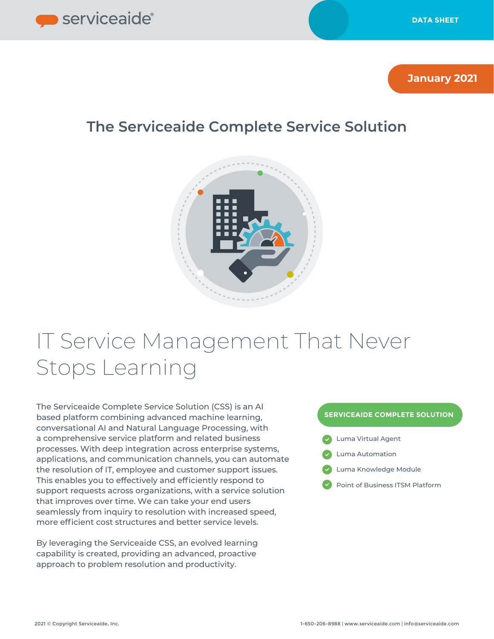

**January 2021**

# **The Serviceaide Complete Service Solution**



# IT Service Management That Never Stops Learning

The Serviceaide Complete Service Solution (CSS) is an AI based platform combining advanced machine learning, conversational AI and Natural Language Processing, with a comprehensive service platform and related business processes. With deep integration across enterprise systems, applications, and communication channels, you can automate the resolution of IT, employee and customer support issues. This enables you to effectively and efficiently respond to support requests across organizations, with a service solution that improves over time. We can take your end users seamlessly from inquiry to resolution with increased speed, more efficient cost structures and better service levels.

By leveraging the Serviceaide CSS, an evolved learning capability is created, providing an advanced, proactive approach to problem resolution and productivity.

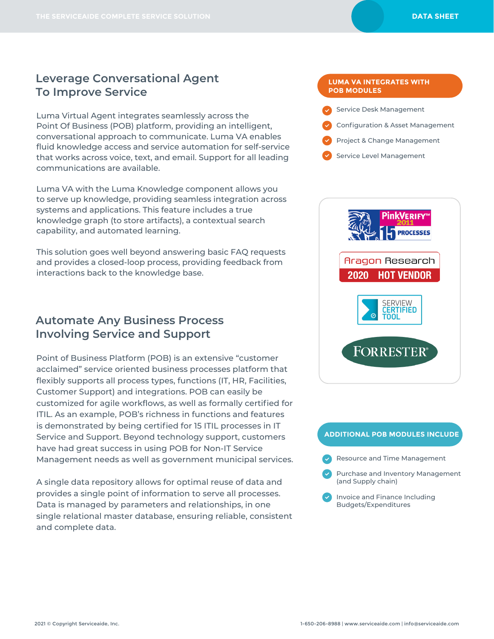Luma Virtual Agent integrates seamlessly across the Point Of Business (POB) platform, providing an intelligent, conversational approach to communicate. Luma VA enables fluid knowledge access and service automation for self-service that works across voice, text, and email. Support for all leading communications are available.

Luma VA with the Luma Knowledge component allows you to serve up knowledge, providing seamless integration across systems and applications. This feature includes a true knowledge graph (to store artifacts), a contextual search capability, and automated learning.

This solution goes well beyond answering basic FAQ requests and provides a closed-loop process, providing feedback from interactions back to the knowledge base.

## **Automate Any Business Process Involving Service and Support**

Point of Business Platform (POB) is an extensive "customer acclaimed" service oriented business processes platform that flexibly supports all process types, functions (IT, HR, Facilities, Customer Support) and integrations. POB can easily be customized for agile workflows, as well as formally certified for ITIL. As an example, POB's richness in functions and features is demonstrated by being certified for 15 ITIL processes in IT Service and Support. Beyond technology support, customers have had great success in using POB for Non-IT Service Management needs as well as government municipal services.

A single data repository allows for optimal reuse of data and provides a single point of information to serve all processes. Data is managed by parameters and relationships, in one single relational master database, ensuring reliable, consistent and complete data.

#### **LUMA VA INTEGRATES WITH POB MODULES**

- Service Desk Management
- Configuration & Asset Management
- Project & Change Management
- Service Level Management



#### **ADDITIONAL POB MODULES INCLUDE**

- Resource and Time Management
- Purchase and Inventory Management (and Supply chain)
- Invoice and Finance Including Budgets/Expenditures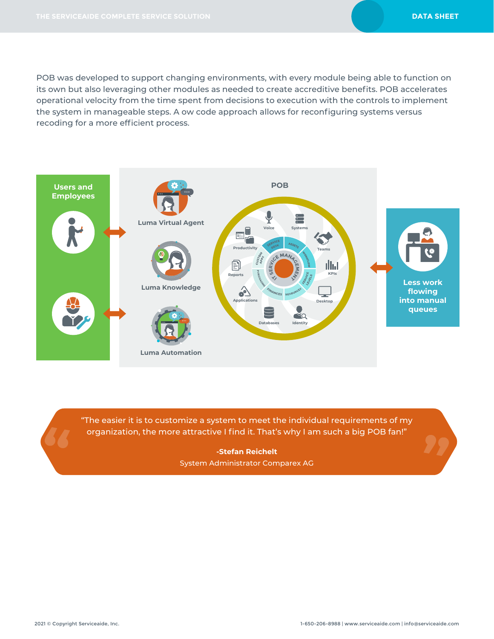POB was developed to support changing environments, with every module being able to function on its own but also leveraging other modules as needed to create accreditive benefits. POB accelerates operational velocity from the time spent from decisions to execution with the controls to implement the system in manageable steps. A ow code approach allows for reconfiguring systems versus recoding for a more efficient process.



"The easier it is to customize a system to meet the individual requirements of my organization, the more attractive I find it. That's why I am such a big POB fan!"

> **-Stefan Reichelt** System Administrator Comparex AG